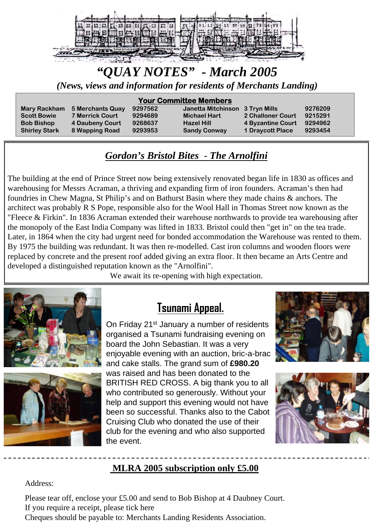

# *"QUAY NOTES" - March 2005*

*(News, views and information for residents of Merchants Landing)*

#### **Your Committee Members**

**Mary Rackham 5 Merchants Quay 9297562** 

**Scott Bowie 7 Merrick Court 9294689 Bob Bishop 4 Daubeny Court 9268637 Shirley Stark 8 Wapping Road 9293953** 

| Janetta Mitchinson 3 Tryn Mills |                         | 9276209 |
|---------------------------------|-------------------------|---------|
| <b>Michael Hart</b>             | 2 Challoner Court       | 9215291 |
| <b>Hazel Hill</b>               | 4 Byzantine Court       | 9294962 |
| <b>Sandy Conway</b>             | <b>1 Draycott Place</b> | 9293454 |

# *Gordon's Bristol Bites - The Arnolfini*

The building at the end of Prince Street now being extensively renovated began life in 1830 as offices and warehousing for Messrs Acraman, a thriving and expanding firm of iron founders. Acraman's then had foundries in Chew Magna, St Philip's and on Bathurst Basin where they made chains & anchors. The architect was probably R S Pope, responsible also for the Wool Hall in Thomas Street now known as the "Fleece & Firkin". In 1836 Acraman extended their warehouse northwards to provide tea warehousing after the monopoly of the East India Company was lifted in 1833. Bristol could then "get in" on the tea trade. Later, in 1864 when the city had urgent need for bonded accommodation the Warehouse was rented to them. By 1975 the building was redundant. It was then re-modelled. Cast iron columns and wooden floors were replaced by concrete and the present roof added giving an extra floor. It then became an Arts Centre and developed a distinguished reputation known as the "Arnolfini".

We await its re-opening with high expectation.





# **Tsunami Appeal.**

On Friday 21<sup>st</sup> January a number of residents organised a Tsunami fundraising evening on board the John Sebastian. It was a very enjoyable evening with an auction, bric-a-brac and cake stalls. The grand sum of **£980.20** was raised and has been donated to the BRITISH RED CROSS. A big thank you to all who contributed so generously. Without your help and support this evening would not have been so successful. Thanks also to the Cabot Cruising Club who donated the use of their club for the evening and who also supported the event.





# **MLRA 2005 subscription only £5.00**

Address:

Please tear off, enclose your £5.00 and send to Bob Bishop at 4 Daubney Court. If you require a receipt, please tick here

Cheques should be payable to: Merchants Landing Residents Association.